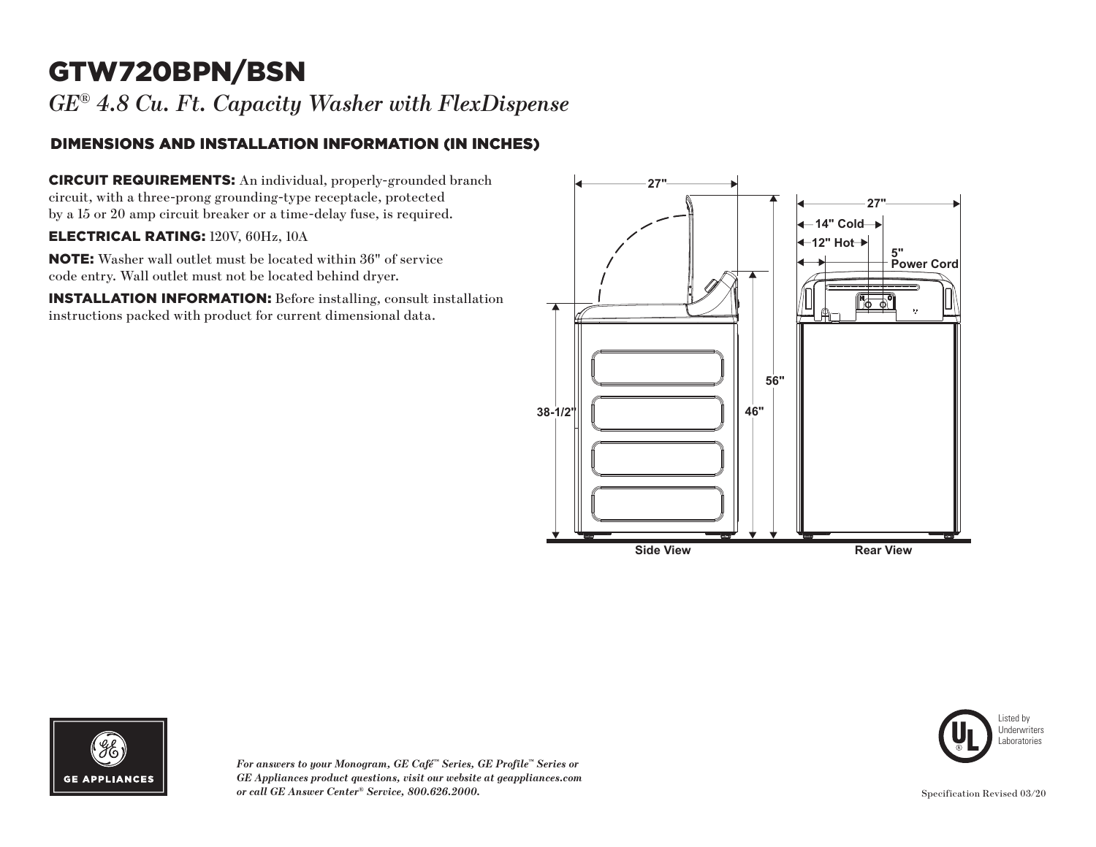# GTW720BPN/BSN

*GE® 4.8 Cu. Ft. Capacity Washer with FlexDispense* 

### DIMENSIONS AND INSTALLATION INFORMATION (IN INCHES)

CIRCUIT REQUIREMENTS: An individual, properly-grounded branch circuit, with a three-prong grounding-type receptacle, protected by a 15 or 20 amp circuit breaker or a time-delay fuse, is required.

#### ELECTRICAL RATING: 120V, 60Hz, 10A

NOTE: Washer wall outlet must be located within 36" of service code entry. Wall outlet must not be located behind dryer.

INSTALLATION INFORMATION: Before installing, consult installation instructions packed with product for current dimensional data.





*For answers to your Monogram, GE Café™ Series, GE Profile™ Series or GE Appliances product questions, visit our website at geappliances.com or call GE Answer Center® Service, 800.626.2000.* Specification Revised 03/20